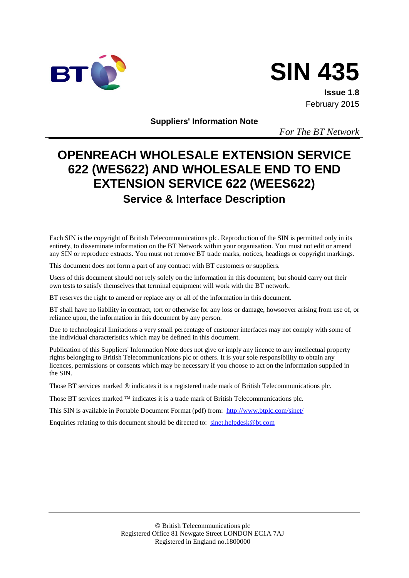

# **SIN 435**

**Issue 1.8** February 2015

**Suppliers' Information Note**

*For The BT Network*

# **OPENREACH WHOLESALE EXTENSION SERVICE 622 (WES622) AND WHOLESALE END TO END EXTENSION SERVICE 622 (WEES622) Service & Interface Description**

Each SIN is the copyright of British Telecommunications plc. Reproduction of the SIN is permitted only in its entirety, to disseminate information on the BT Network within your organisation. You must not edit or amend any SIN or reproduce extracts. You must not remove BT trade marks, notices, headings or copyright markings.

This document does not form a part of any contract with BT customers or suppliers.

Users of this document should not rely solely on the information in this document, but should carry out their own tests to satisfy themselves that terminal equipment will work with the BT network.

BT reserves the right to amend or replace any or all of the information in this document.

BT shall have no liability in contract, tort or otherwise for any loss or damage, howsoever arising from use of, or reliance upon, the information in this document by any person.

Due to technological limitations a very small percentage of customer interfaces may not comply with some of the individual characteristics which may be defined in this document.

Publication of this Suppliers' Information Note does not give or imply any licence to any intellectual property rights belonging to British Telecommunications plc or others. It is your sole responsibility to obtain any licences, permissions or consents which may be necessary if you choose to act on the information supplied in the SIN.

Those BT services marked  $\otimes$  indicates it is a registered trade mark of British Telecommunications plc.

Those BT services marked  $TM$  indicates it is a trade mark of British Telecommunications plc.

This SIN is available in Portable Document Format (pdf) from: <http://www.btplc.com/sinet/>

Enquiries relating to this document should be directed to: [sinet.helpdesk@bt.com](mailto:sinet.helpdesk@bt.com)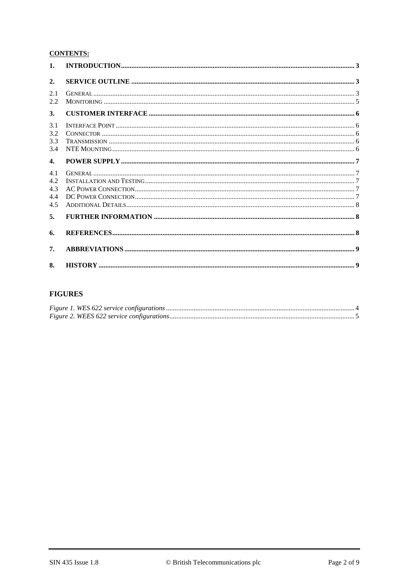# **CONTENTS:**

| $\mathbf{1}$ .                  |  |
|---------------------------------|--|
| $\overline{2}$ .                |  |
| 2.1<br>2.2.                     |  |
| 3.                              |  |
| 3.1<br>3.2<br>3.3<br>3.4        |  |
| $\mathbf{4}$ .                  |  |
| 4.1<br>4.2<br>4.3<br>4.4<br>4.5 |  |
| 5.                              |  |
| 6.                              |  |
| 7.                              |  |
| 8.                              |  |

# **FIGURES**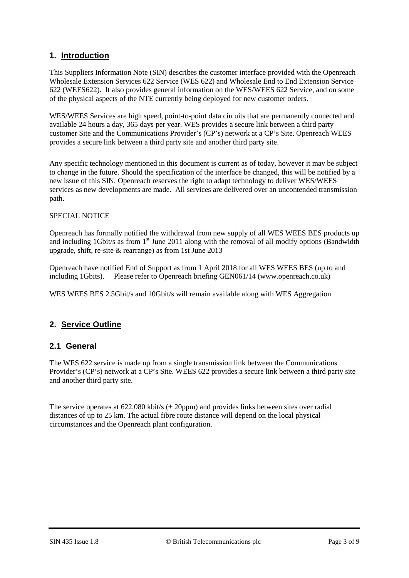#### **1. Introduction**

This Suppliers Information Note (SIN) describes the customer interface provided with the Openreach Wholesale Extension Services 622 Service (WES 622) and Wholesale End to End Extension Service 622 (WEES622). It also provides general information on the WES/WEES 622 Service, and on some of the physical aspects of the NTE currently being deployed for new customer orders.

WES/WEES Services are high speed, point-to-point data circuits that are permanently connected and available 24 hours a day, 365 days per year. WES provides a secure link between a third party customer Site and the Communications Provider's (CP's) network at a CP's Site. Openreach WEES provides a secure link between a third party site and another third party site.

Any specific technology mentioned in this document is current as of today, however it may be subject to change in the future. Should the specification of the interface be changed, this will be notified by a new issue of this SIN. Openreach reserves the right to adapt technology to deliver WES/WEES services as new developments are made. All services are delivered over an uncontended transmission path.

#### SPECIAL NOTICE

Openreach has formally notified the withdrawal from new supply of all WES WEES BES products up and including 1Gbit/s as from  $1<sup>st</sup>$  June 2011 along with the removal of all modify options (Bandwidth upgrade, shift, re-site & rearrange) as from 1st June 2013

Openreach have notified End of Support as from 1 April 2018 for all WES WEES BES (up to and including 1Gbits). Please refer to Openreach briefing GEN061/14 (www.openreach.co.uk)

WES WEES BES 2.5Gbit/s and 10Gbit/s will remain available along with WES Aggregation

# **2. Service Outline**

#### **2.1 General**

The WES 622 service is made up from a single transmission link between the Communications Provider's (CP's) network at a CP's Site. WEES 622 provides a secure link between a third party site and another third party site.

The service operates at  $622,080$  kbit/s ( $\pm$  20ppm) and provides links between sites over radial distances of up to 25 km. The actual fibre route distance will depend on the local physical circumstances and the Openreach plant configuration.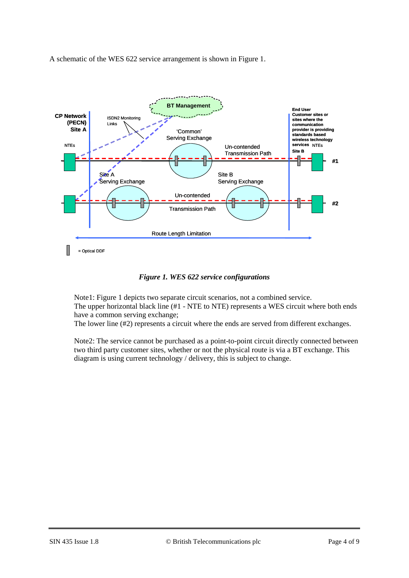A schematic of the WES 622 service arrangement is shown in Figure 1.



*Figure 1. WES 622 service configurations*

<span id="page-3-0"></span>Note1[: Figure 1](#page-3-0) depicts two separate circuit scenarios, not a combined service. The upper horizontal black line (#1 - NTE to NTE) represents a WES circuit where both ends have a common serving exchange;

The lower line (#2) represents a circuit where the ends are served from different exchanges.

Note2: The service cannot be purchased as a point-to-point circuit directly connected between two third party customer sites, whether or not the physical route is via a BT exchange. This diagram is using current technology / delivery, this is subject to change.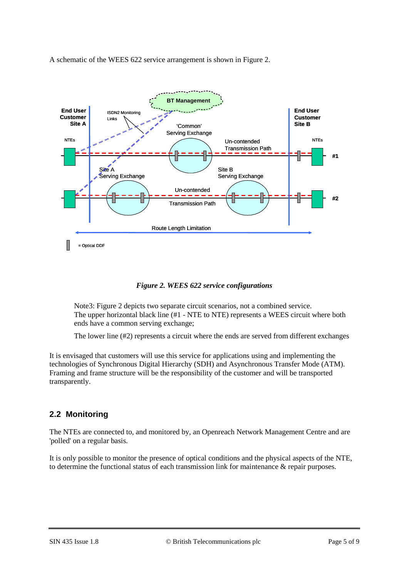A schematic of the WEES 622 service arrangement is shown in Figure 2.



*Figure 2. WEES 622 service configurations*

<span id="page-4-0"></span>Note3[: Figure 2](#page-4-0) depicts two separate circuit scenarios, not a combined service. The upper horizontal black line (#1 - NTE to NTE) represents a WEES circuit where both ends have a common serving exchange;

The lower line (#2) represents a circuit where the ends are served from different exchanges

It is envisaged that customers will use this service for applications using and implementing the technologies of Synchronous Digital Hierarchy (SDH) and Asynchronous Transfer Mode (ATM). Framing and frame structure will be the responsibility of the customer and will be transported transparently.

# **2.2 Monitoring**

The NTEs are connected to, and monitored by, an Openreach Network Management Centre and are 'polled' on a regular basis.

It is only possible to monitor the presence of optical conditions and the physical aspects of the NTE, to determine the functional status of each transmission link for maintenance & repair purposes.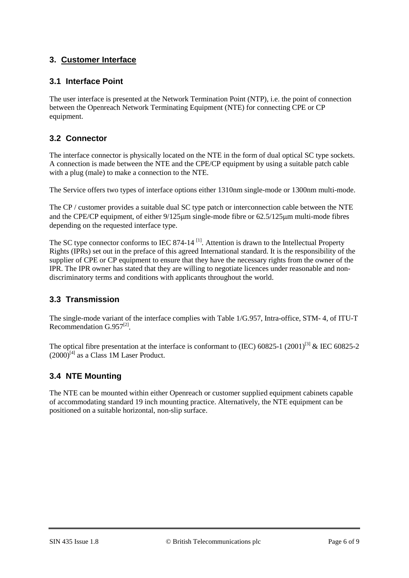# **3. Customer Interface**

# **3.1 Interface Point**

The user interface is presented at the Network Termination Point (NTP), i.e. the point of connection between the Openreach Network Terminating Equipment (NTE) for connecting CPE or CP equipment.

# **3.2 Connector**

The interface connector is physically located on the NTE in the form of dual optical SC type sockets. A connection is made between the NTE and the CPE/CP equipment by using a suitable patch cable with a plug (male) to make a connection to the NTE.

The Service offers two types of interface options either 1310nm single-mode or 1300nm multi-mode.

The CP / customer provides a suitable dual SC type patch or interconnection cable between the NTE and the CPE/CP equipment, of either 9/125µm single-mode fibre or 62.5/125µm multi-mode fibres depending on the requested interface type.

The SC type connector conforms to IEC 874-14<sup>[1]</sup>. Attention is drawn to the Intellectual Property Rights (IPRs) set out in the preface of this agreed International standard. It is the responsibility of the supplier of CPE or CP equipment to ensure that they have the necessary rights from the owner of the IPR. The IPR owner has stated that they are willing to negotiate licences under reasonable and nondiscriminatory terms and conditions with applicants throughout the world.

# **3.3 Transmission**

The single-mode variant of the interface complies with Table 1/G.957, Intra-office, STM- 4, of ITU-T Recommendation  $G.957^{[2]}$ .

The optical fibre presentation at the interface is conformant to (IEC)  $60825-1$   $(2001)^{[3]}$  & IEC  $60825-2$  $(2000)^{[4]}$  as a Class 1M Laser Product.

# **3.4 NTE Mounting**

The NTE can be mounted within either Openreach or customer supplied equipment cabinets capable of accommodating standard 19 inch mounting practice. Alternatively, the NTE equipment can be positioned on a suitable horizontal, non-slip surface.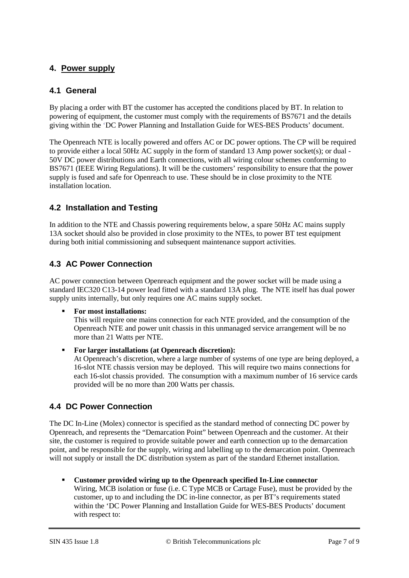# **4. Power supply**

#### **4.1 General**

By placing a order with BT the customer has accepted the conditions placed by BT. In relation to powering of equipment, the customer must comply with the requirements of BS7671 and the details giving within the 'DC Power Planning and Installation Guide for WES-BES Products' document.

The Openreach NTE is locally powered and offers AC or DC power options. The CP will be required to provide either a local 50Hz AC supply in the form of standard 13 Amp power socket(s); or dual - 50V DC power distributions and Earth connections, with all wiring colour schemes conforming to BS7671 (IEEE Wiring Regulations). It will be the customers' responsibility to ensure that the power supply is fused and safe for Openreach to use. These should be in close proximity to the NTE installation location.

# **4.2 Installation and Testing**

In addition to the NTE and Chassis powering requirements below, a spare 50Hz AC mains supply 13A socket should also be provided in close proximity to the NTEs, to power BT test equipment during both initial commissioning and subsequent maintenance support activities.

# **4.3 AC Power Connection**

AC power connection between Openreach equipment and the power socket will be made using a standard IEC320 C13-14 power lead fitted with a standard 13A plug. The NTE itself has dual power supply units internally, but only requires one AC mains supply socket.

#### **For most installations:**

This will require one mains connection for each NTE provided, and the consumption of the Openreach NTE and power unit chassis in this unmanaged service arrangement will be no more than 21 Watts per NTE.

 **For larger installations (at Openreach discretion):** At Openreach's discretion, where a large number of systems of one type are being deployed, a 16-slot NTE chassis version may be deployed. This will require two mains connections for each 16-slot chassis provided. The consumption with a maximum number of 16 service cards provided will be no more than 200 Watts per chassis.

# **4.4 DC Power Connection**

The DC In-Line (Molex) connector is specified as the standard method of connecting DC power by Openreach, and represents the "Demarcation Point" between Openreach and the customer. At their site, the customer is required to provide suitable power and earth connection up to the demarcation point, and be responsible for the supply, wiring and labelling up to the demarcation point. Openreach will not supply or install the DC distribution system as part of the standard Ethernet installation.

**Customer provided wiring up to the Openreach specified In-Line connector**

Wiring, MCB isolation or fuse (i.e. C Type MCB or Cartage Fuse), must be provided by the customer, up to and including the DC in-line connector, as per BT's requirements stated within the 'DC Power Planning and Installation Guide for WES-BES Products' document with respect to: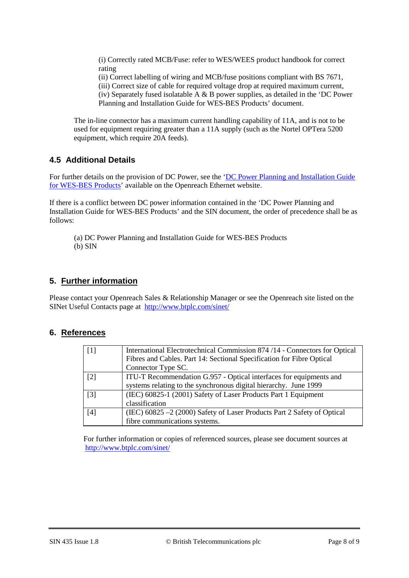(i) Correctly rated MCB/Fuse: refer to WES/WEES product handbook for correct rating

(ii) Correct labelling of wiring and MCB/fuse positions compliant with BS 7671,

(iii) Correct size of cable for required voltage drop at required maximum current,

(iv) Separately fused isolatable  $\overline{A} \& \overline{B}$  power supplies, as detailed in the 'DC Power Planning and Installation Guide for WES-BES Products' document.

The in-line connector has a maximum current handling capability of 11A, and is not to be used for equipment requiring greater than a 11A supply (such as the Nortel OPTera 5200 equipment, which require 20A feeds).

#### **4.5 Additional Details**

For further details on the provision of DC Power, see the ['DC Power Planning and Installation Guide](https://www.openreach.co.uk/orpg/home/newlogin.do?smauthreason=0&target=http%3A%2F%2Fwww.openreach.co.uk%2Forpg%2Fcustomerzone%2Fproducts%2Fethernetservices%2Fethernetaccessdirect%2Fdescription%2Fsupplementaryinformation%2Fsupplementaryinfo.do&fromMasterHead=1)  [for WES-BES Products'](https://www.openreach.co.uk/orpg/home/newlogin.do?smauthreason=0&target=http%3A%2F%2Fwww.openreach.co.uk%2Forpg%2Fcustomerzone%2Fproducts%2Fethernetservices%2Fethernetaccessdirect%2Fdescription%2Fsupplementaryinformation%2Fsupplementaryinfo.do&fromMasterHead=1) available on the Openreach Ethernet website.

If there is a conflict between DC power information contained in the 'DC Power Planning and Installation Guide for WES-BES Products' and the SIN document, the order of precedence shall be as follows:

(a) DC Power Planning and Installation Guide for WES-BES Products (b) SIN

# **5. Further information**

Please contact your Openreach Sales & Relationship Manager or see the Openreach site listed on the SINet Useful Contacts page at<http://www.btplc.com/sinet/>

#### **6. References**

|                   | International Electrotechnical Commission 874 /14 - Connectors for Optical |  |  |
|-------------------|----------------------------------------------------------------------------|--|--|
|                   | Fibres and Cables. Part 14: Sectional Specification for Fibre Optical      |  |  |
|                   | Connector Type SC.                                                         |  |  |
| $\lceil 2 \rceil$ | ITU-T Recommendation G.957 - Optical interfaces for equipments and         |  |  |
|                   | systems relating to the synchronous digital hierarchy. June 1999           |  |  |
| $\lceil 3 \rceil$ | (IEC) 60825-1 (2001) Safety of Laser Products Part 1 Equipment             |  |  |
|                   | classification                                                             |  |  |
| [4]               | (IEC) $60825 - 2(2000)$ Safety of Laser Products Part 2 Safety of Optical  |  |  |
|                   | fibre communications systems.                                              |  |  |

For further information or copies of referenced sources, please see document sources at <http://www.btplc.com/sinet/>